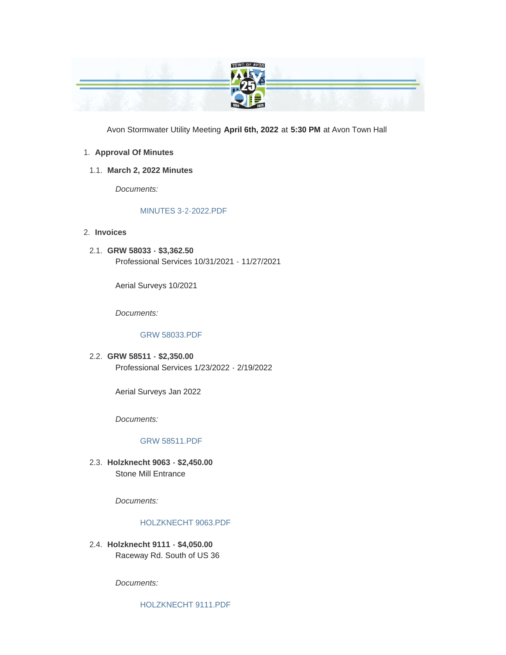

Avon Stormwater Utility Meeting **April 6th, 2022** at **5:30 PM** at Avon Town Hall

### **Approval Of Minutes** 1.

**March 2, 2022 Minutes** 1.1.

*Documents:*

## [MINUTES 3-2-2022.PDF](https://www.avongov.org/AgendaCenter/ViewFile/Item/245?fileID=198)

- **Invoices** 2.
- **GRW 58033 \$3,362.50** 2.1. Professional Services 10/31/2021 - 11/27/2021

Aerial Surveys 10/2021

*Documents:*

#### [GRW 58033.PDF](https://www.avongov.org/AgendaCenter/ViewFile/Item/213?fileID=190)

**GRW 58511 - \$2,350.00** 2.2. Professional Services 1/23/2022 - 2/19/2022

Aerial Surveys Jan 2022

*Documents:*

#### [GRW 58511.PDF](https://www.avongov.org/AgendaCenter/ViewFile/Item/214?fileID=191)

**Holzknecht 9063 - \$2,450.00** 2.3. Stone Mill Entrance

*Documents:*

#### [HOLZKNECHT 9063.PDF](https://www.avongov.org/AgendaCenter/ViewFile/Item/209?fileID=186)

**Holzknecht 9111 - \$4,050.00** 2.4. Raceway Rd. South of US 36

*Documents:*

[HOLZKNECHT 9111.PDF](https://www.avongov.org/AgendaCenter/ViewFile/Item/208?fileID=185)